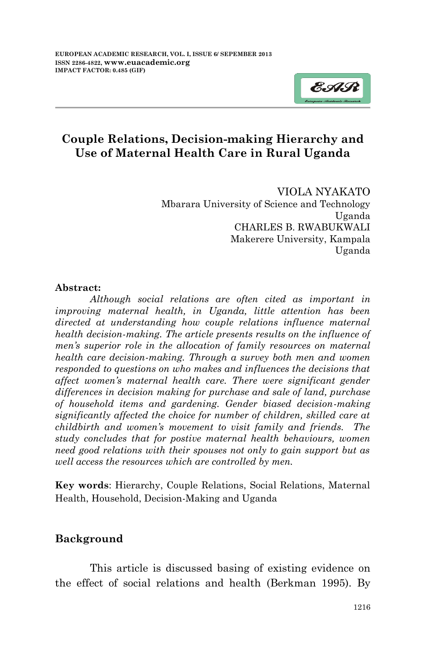

## **Couple Relations, Decision-making Hierarchy and Use of Maternal Health Care in Rural Uganda**

VIOLA NYAKATO Mbarara University of Science and Technology Uganda CHARLES B. RWABUKWALI Makerere University, Kampala Uganda

#### **Abstract:**

*Although social relations are often cited as important in improving maternal health, in Uganda, little attention has been directed at understanding how couple relations influence maternal health decision-making. The article presents results on the influence of men's superior role in the allocation of family resources on maternal health care decision-making. Through a survey both men and women responded to questions on who makes and influences the decisions that affect women's maternal health care. There were significant gender differences in decision making for purchase and sale of land, purchase of household items and gardening. Gender biased decision-making significantly affected the choice for number of children, skilled care at childbirth and women's movement to visit family and friends. The study concludes that for postive maternal health behaviours, women need good relations with their spouses not only to gain support but as well access the resources which are controlled by men.* 

**Key words**: Hierarchy, Couple Relations, Social Relations, Maternal Health, Household, Decision-Making and Uganda

### **Background**

This article is discussed basing of existing evidence on the effect of social relations and health (Berkman 1995). By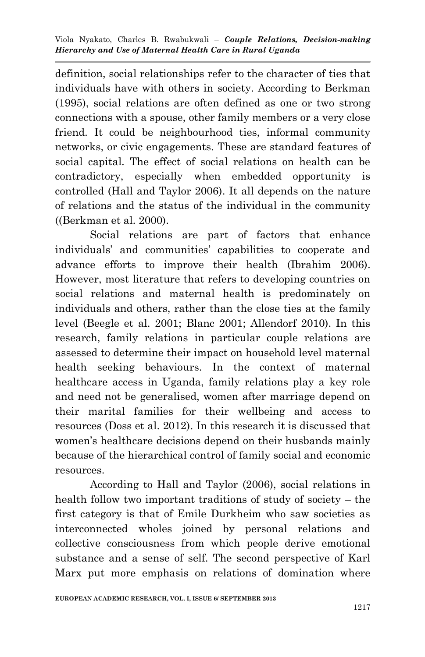definition, social relationships refer to the character of ties that individuals have with others in society. According to Berkman (1995), social relations are often defined as one or two strong connections with a spouse, other family members or a very close friend. It could be neighbourhood ties, informal community networks, or civic engagements. These are standard features of social capital. The effect of social relations on health can be contradictory, especially when embedded opportunity is controlled (Hall and Taylor 2006). It all depends on the nature of relations and the status of the individual in the community ((Berkman et al. 2000).

Social relations are part of factors that enhance individuals' and communities' capabilities to cooperate and advance efforts to improve their health (Ibrahim 2006). However, most literature that refers to developing countries on social relations and maternal health is predominately on individuals and others, rather than the close ties at the family level (Beegle et al. 2001; Blanc 2001; Allendorf 2010). In this research, family relations in particular couple relations are assessed to determine their impact on household level maternal health seeking behaviours. In the context of maternal healthcare access in Uganda, family relations play a key role and need not be generalised, women after marriage depend on their marital families for their wellbeing and access to resources (Doss et al. 2012). In this research it is discussed that women's healthcare decisions depend on their husbands mainly because of the hierarchical control of family social and economic resources.

According to Hall and Taylor (2006), social relations in health follow two important traditions of study of society – the first category is that of Emile Durkheim who saw societies as interconnected wholes joined by personal relations and collective consciousness from which people derive emotional substance and a sense of self. The second perspective of Karl Marx put more emphasis on relations of domination where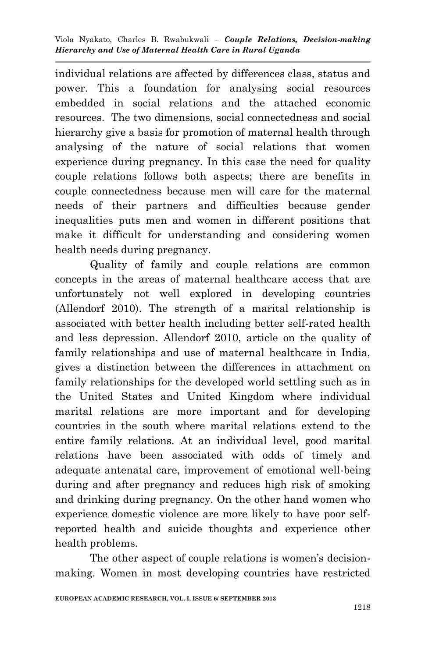individual relations are affected by differences class, status and power. This a foundation for analysing social resources embedded in social relations and the attached economic resources. The two dimensions, social connectedness and social hierarchy give a basis for promotion of maternal health through analysing of the nature of social relations that women experience during pregnancy. In this case the need for quality couple relations follows both aspects; there are benefits in couple connectedness because men will care for the maternal needs of their partners and difficulties because gender inequalities puts men and women in different positions that make it difficult for understanding and considering women health needs during pregnancy.

Quality of family and couple relations are common concepts in the areas of maternal healthcare access that are unfortunately not well explored in developing countries (Allendorf 2010). The strength of a marital relationship is associated with better health including better self-rated health and less depression. Allendorf 2010, article on the quality of family relationships and use of maternal healthcare in India, gives a distinction between the differences in attachment on family relationships for the developed world settling such as in the United States and United Kingdom where individual marital relations are more important and for developing countries in the south where marital relations extend to the entire family relations. At an individual level, good marital relations have been associated with odds of timely and adequate antenatal care, improvement of emotional well-being during and after pregnancy and reduces high risk of smoking and drinking during pregnancy. On the other hand women who experience domestic violence are more likely to have poor selfreported health and suicide thoughts and experience other health problems.

The other aspect of couple relations is women's decisionmaking. Women in most developing countries have restricted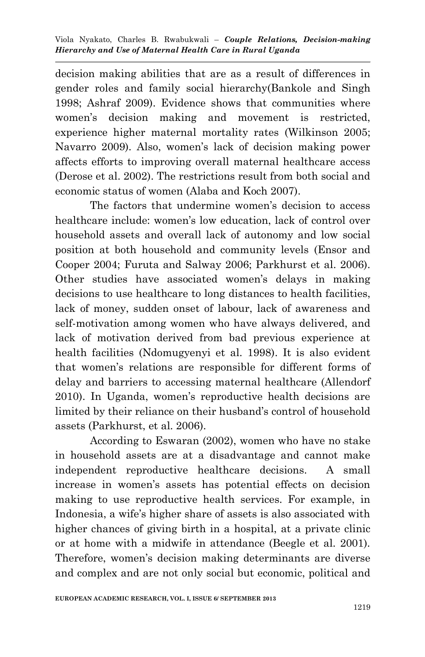decision making abilities that are as a result of differences in gender roles and family social hierarchy(Bankole and Singh 1998; Ashraf 2009). Evidence shows that communities where women's decision making and movement is restricted, experience higher maternal mortality rates (Wilkinson 2005; Navarro 2009). Also, women's lack of decision making power affects efforts to improving overall maternal healthcare access (Derose et al. 2002). The restrictions result from both social and economic status of women (Alaba and Koch 2007).

The factors that undermine women's decision to access healthcare include: women's low education, lack of control over household assets and overall lack of autonomy and low social position at both household and community levels (Ensor and Cooper 2004; Furuta and Salway 2006; Parkhurst et al. 2006). Other studies have associated women's delays in making decisions to use healthcare to long distances to health facilities, lack of money, sudden onset of labour, lack of awareness and self-motivation among women who have always delivered, and lack of motivation derived from bad previous experience at health facilities (Ndomugyenyi et al. 1998). It is also evident that women's relations are responsible for different forms of delay and barriers to accessing maternal healthcare (Allendorf 2010). In Uganda, women's reproductive health decisions are limited by their reliance on their husband's control of household assets (Parkhurst, et al. 2006).

According to Eswaran (2002), women who have no stake in household assets are at a disadvantage and cannot make independent reproductive healthcare decisions. A small increase in women's assets has potential effects on decision making to use reproductive health services. For example, in Indonesia, a wife's higher share of assets is also associated with higher chances of giving birth in a hospital, at a private clinic or at home with a midwife in attendance (Beegle et al. 2001). Therefore, women's decision making determinants are diverse and complex and are not only social but economic, political and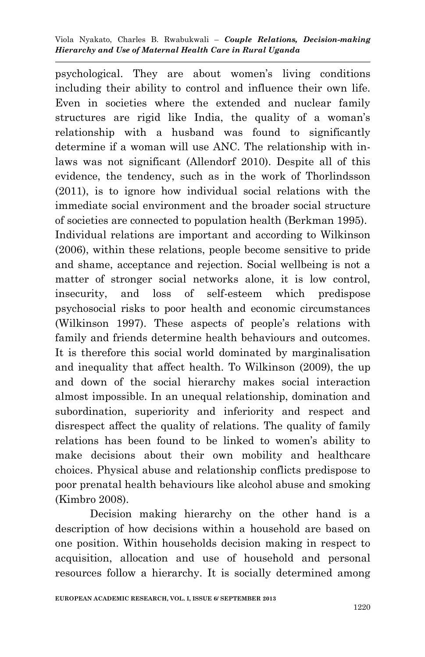psychological. They are about women's living conditions including their ability to control and influence their own life. Even in societies where the extended and nuclear family structures are rigid like India, the quality of a woman's relationship with a husband was found to significantly determine if a woman will use ANC. The relationship with inlaws was not significant (Allendorf 2010). Despite all of this evidence, the tendency, such as in the work of Thorlindsson (2011), is to ignore how individual social relations with the immediate social environment and the broader social structure of societies are connected to population health (Berkman 1995). Individual relations are important and according to Wilkinson (2006), within these relations, people become sensitive to pride and shame, acceptance and rejection. Social wellbeing is not a matter of stronger social networks alone, it is low control, insecurity, and loss of self-esteem which predispose psychosocial risks to poor health and economic circumstances (Wilkinson 1997). These aspects of people's relations with family and friends determine health behaviours and outcomes. It is therefore this social world dominated by marginalisation and inequality that affect health. To Wilkinson (2009), the up and down of the social hierarchy makes social interaction almost impossible. In an unequal relationship, domination and subordination, superiority and inferiority and respect and disrespect affect the quality of relations. The quality of family relations has been found to be linked to women's ability to make decisions about their own mobility and healthcare choices. Physical abuse and relationship conflicts predispose to poor prenatal health behaviours like alcohol abuse and smoking (Kimbro 2008).

Decision making hierarchy on the other hand is a description of how decisions within a household are based on one position. Within households decision making in respect to acquisition, allocation and use of household and personal resources follow a hierarchy. It is socially determined among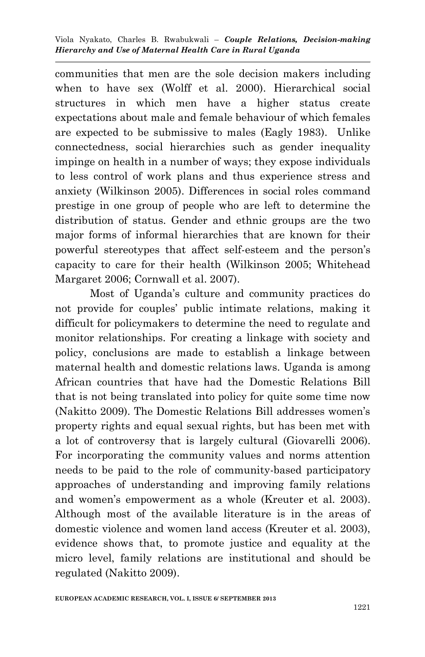communities that men are the sole decision makers including when to have sex (Wolff et al. 2000). Hierarchical social structures in which men have a higher status create expectations about male and female behaviour of which females are expected to be submissive to males (Eagly 1983). Unlike connectedness, social hierarchies such as gender inequality impinge on health in a number of ways; they expose individuals to less control of work plans and thus experience stress and anxiety (Wilkinson 2005). Differences in social roles command prestige in one group of people who are left to determine the distribution of status. Gender and ethnic groups are the two major forms of informal hierarchies that are known for their powerful stereotypes that affect self-esteem and the person's capacity to care for their health (Wilkinson 2005; Whitehead Margaret 2006; Cornwall et al. 2007).

Most of Uganda's culture and community practices do not provide for couples' public intimate relations, making it difficult for policymakers to determine the need to regulate and monitor relationships. For creating a linkage with society and policy, conclusions are made to establish a linkage between maternal health and domestic relations laws. Uganda is among African countries that have had the Domestic Relations Bill that is not being translated into policy for quite some time now (Nakitto 2009). The Domestic Relations Bill addresses women's property rights and equal sexual rights, but has been met with a lot of controversy that is largely cultural (Giovarelli 2006). For incorporating the community values and norms attention needs to be paid to the role of community-based participatory approaches of understanding and improving family relations and women's empowerment as a whole (Kreuter et al. 2003). Although most of the available literature is in the areas of domestic violence and women land access (Kreuter et al. 2003), evidence shows that, to promote justice and equality at the micro level, family relations are institutional and should be regulated (Nakitto 2009).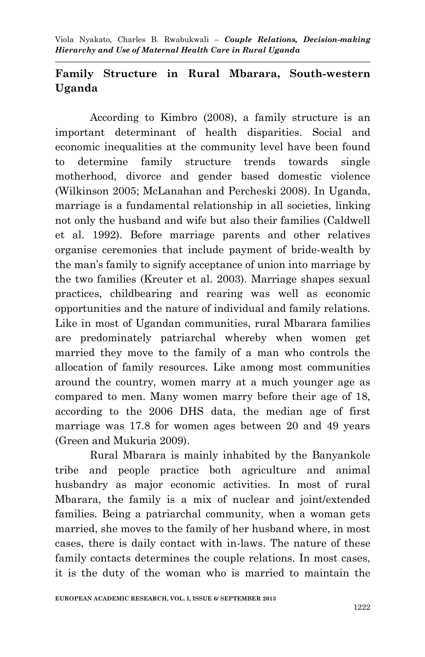## **Family Structure in Rural Mbarara, South-western Uganda**

According to Kimbro (2008), a family structure is an important determinant of health disparities. Social and economic inequalities at the community level have been found to determine family structure trends towards single motherhood, divorce and gender based domestic violence (Wilkinson 2005; McLanahan and Percheski 2008). In Uganda, marriage is a fundamental relationship in all societies, linking not only the husband and wife but also their families (Caldwell et al. 1992). Before marriage parents and other relatives organise ceremonies that include payment of bride-wealth by the man's family to signify acceptance of union into marriage by the two families (Kreuter et al. 2003). Marriage shapes sexual practices, childbearing and rearing was well as economic opportunities and the nature of individual and family relations. Like in most of Ugandan communities, rural Mbarara families are predominately patriarchal whereby when women get married they move to the family of a man who controls the allocation of family resources. Like among most communities around the country, women marry at a much younger age as compared to men. Many women marry before their age of 18, according to the 2006 DHS data, the median age of first marriage was 17.8 for women ages between 20 and 49 years (Green and Mukuria 2009).

Rural Mbarara is mainly inhabited by the Banyankole tribe and people practice both agriculture and animal husbandry as major economic activities. In most of rural Mbarara, the family is a mix of nuclear and joint/extended families. Being a patriarchal community, when a woman gets married, she moves to the family of her husband where, in most cases, there is daily contact with in-laws. The nature of these family contacts determines the couple relations. In most cases, it is the duty of the woman who is married to maintain the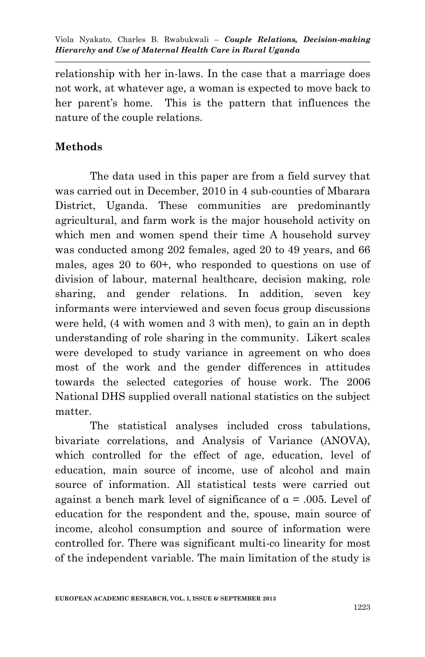relationship with her in-laws. In the case that a marriage does not work, at whatever age, a woman is expected to move back to her parent's home. This is the pattern that influences the nature of the couple relations.

### **Methods**

The data used in this paper are from a field survey that was carried out in December, 2010 in 4 sub-counties of Mbarara District, Uganda. These communities are predominantly agricultural, and farm work is the major household activity on which men and women spend their time A household survey was conducted among 202 females, aged 20 to 49 years, and 66 males, ages 20 to 60+, who responded to questions on use of division of labour, maternal healthcare, decision making, role sharing, and gender relations. In addition, seven key informants were interviewed and seven focus group discussions were held, (4 with women and 3 with men), to gain an in depth understanding of role sharing in the community. Likert scales were developed to study variance in agreement on who does most of the work and the gender differences in attitudes towards the selected categories of house work. The 2006 National DHS supplied overall national statistics on the subject matter.

The statistical analyses included cross tabulations, bivariate correlations, and Analysis of Variance (ANOVA), which controlled for the effect of age, education, level of education, main source of income, use of alcohol and main source of information. All statistical tests were carried out against a bench mark level of significance of  $\alpha$  = .005. Level of education for the respondent and the, spouse, main source of income, alcohol consumption and source of information were controlled for. There was significant multi-co linearity for most of the independent variable. The main limitation of the study is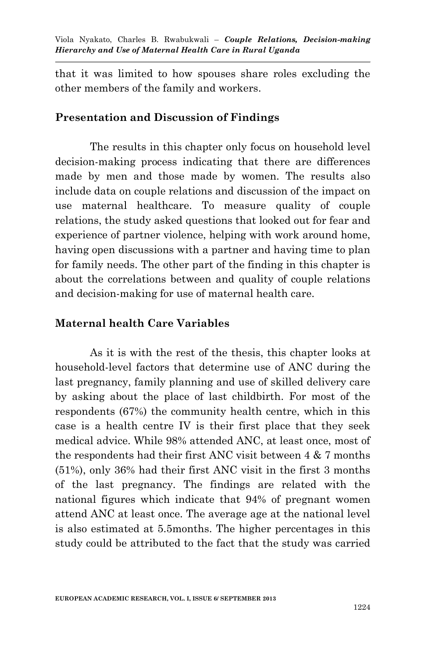that it was limited to how spouses share roles excluding the other members of the family and workers.

### **Presentation and Discussion of Findings**

The results in this chapter only focus on household level decision-making process indicating that there are differences made by men and those made by women. The results also include data on couple relations and discussion of the impact on use maternal healthcare. To measure quality of couple relations, the study asked questions that looked out for fear and experience of partner violence, helping with work around home, having open discussions with a partner and having time to plan for family needs. The other part of the finding in this chapter is about the correlations between and quality of couple relations and decision-making for use of maternal health care.

### **Maternal health Care Variables**

As it is with the rest of the thesis, this chapter looks at household-level factors that determine use of ANC during the last pregnancy, family planning and use of skilled delivery care by asking about the place of last childbirth. For most of the respondents (67%) the community health centre, which in this case is a health centre IV is their first place that they seek medical advice. While 98% attended ANC, at least once, most of the respondents had their first ANC visit between 4 & 7 months (51%), only 36% had their first ANC visit in the first 3 months of the last pregnancy. The findings are related with the national figures which indicate that 94% of pregnant women attend ANC at least once. The average age at the national level is also estimated at 5.5months. The higher percentages in this study could be attributed to the fact that the study was carried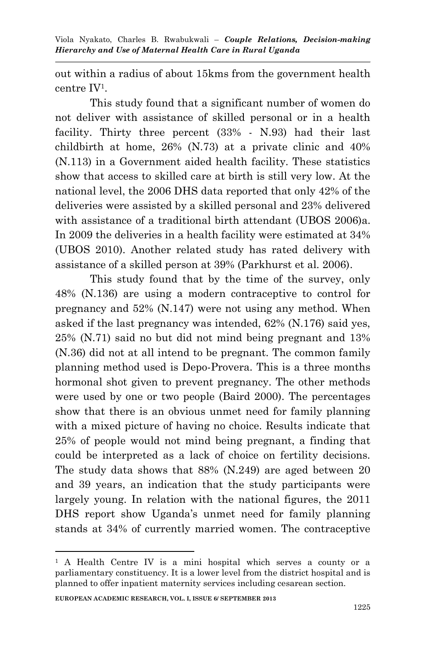out within a radius of about 15kms from the government health centre IV<sup>1</sup> .

This study found that a significant number of women do not deliver with assistance of skilled personal or in a health facility. Thirty three percent (33% - N.93) had their last childbirth at home, 26% (N.73) at a private clinic and 40% (N.113) in a Government aided health facility. These statistics show that access to skilled care at birth is still very low. At the national level, the 2006 DHS data reported that only 42% of the deliveries were assisted by a skilled personal and 23% delivered with assistance of a traditional birth attendant (UBOS 2006)a. In 2009 the deliveries in a health facility were estimated at 34% (UBOS 2010). Another related study has rated delivery with assistance of a skilled person at 39% (Parkhurst et al. 2006).

This study found that by the time of the survey, only 48% (N.136) are using a modern contraceptive to control for pregnancy and 52% (N.147) were not using any method. When asked if the last pregnancy was intended, 62% (N.176) said yes, 25% (N.71) said no but did not mind being pregnant and 13% (N.36) did not at all intend to be pregnant. The common family planning method used is Depo-Provera. This is a three months hormonal shot given to prevent pregnancy. The other methods were used by one or two people (Baird 2000). The percentages show that there is an obvious unmet need for family planning with a mixed picture of having no choice. Results indicate that 25% of people would not mind being pregnant, a finding that could be interpreted as a lack of choice on fertility decisions. The study data shows that 88% (N.249) are aged between 20 and 39 years, an indication that the study participants were largely young. In relation with the national figures, the 2011 DHS report show Uganda's unmet need for family planning stands at 34% of currently married women. The contraceptive

1

<sup>1</sup> A Health Centre IV is a mini hospital which serves a county or a parliamentary constituency. It is a lower level from the district hospital and is planned to offer inpatient maternity services including cesarean section.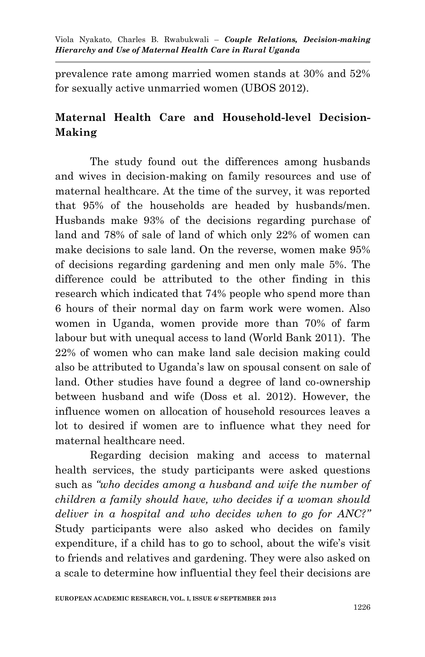prevalence rate among married women stands at 30% and 52% for sexually active unmarried women (UBOS 2012).

## **Maternal Health Care and Household-level Decision-Making**

The study found out the differences among husbands and wives in decision-making on family resources and use of maternal healthcare. At the time of the survey, it was reported that 95% of the households are headed by husbands/men. Husbands make 93% of the decisions regarding purchase of land and 78% of sale of land of which only 22% of women can make decisions to sale land. On the reverse, women make 95% of decisions regarding gardening and men only male 5%. The difference could be attributed to the other finding in this research which indicated that 74% people who spend more than 6 hours of their normal day on farm work were women. Also women in Uganda, women provide more than 70% of farm labour but with unequal access to land (World Bank 2011). The 22% of women who can make land sale decision making could also be attributed to Uganda's law on spousal consent on sale of land. Other studies have found a degree of land co-ownership between husband and wife (Doss et al. 2012). However, the influence women on allocation of household resources leaves a lot to desired if women are to influence what they need for maternal healthcare need.

Regarding decision making and access to maternal health services, the study participants were asked questions such as *"who decides among a husband and wife the number of children a family should have, who decides if a woman should deliver in a hospital and who decides when to go for ANC?"* Study participants were also asked who decides on family expenditure, if a child has to go to school, about the wife's visit to friends and relatives and gardening. They were also asked on a scale to determine how influential they feel their decisions are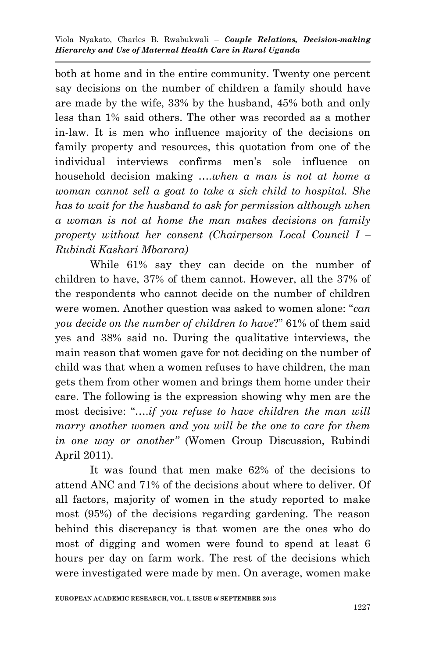both at home and in the entire community. Twenty one percent say decisions on the number of children a family should have are made by the wife, 33% by the husband, 45% both and only less than 1% said others. The other was recorded as a mother in-law. It is men who influence majority of the decisions on family property and resources, this quotation from one of the individual interviews confirms men's sole influence on household decision making *….when a man is not at home a woman cannot sell a goat to take a sick child to hospital. She has to wait for the husband to ask for permission although when a woman is not at home the man makes decisions on family property without her consent (Chairperson Local Council I – Rubindi Kashari Mbarara)*

While 61% say they can decide on the number of children to have, 37% of them cannot. However, all the 37% of the respondents who cannot decide on the number of children were women. Another question was asked to women alone: "*can you decide on the number of children to have*?" 61% of them said yes and 38% said no. During the qualitative interviews, the main reason that women gave for not deciding on the number of child was that when a women refuses to have children, the man gets them from other women and brings them home under their care. The following is the expression showing why men are the most decisive: "….*if you refuse to have children the man will marry another women and you will be the one to care for them in one way or another"* (Women Group Discussion, Rubindi April 2011).

It was found that men make 62% of the decisions to attend ANC and 71% of the decisions about where to deliver. Of all factors, majority of women in the study reported to make most (95%) of the decisions regarding gardening. The reason behind this discrepancy is that women are the ones who do most of digging and women were found to spend at least 6 hours per day on farm work. The rest of the decisions which were investigated were made by men. On average, women make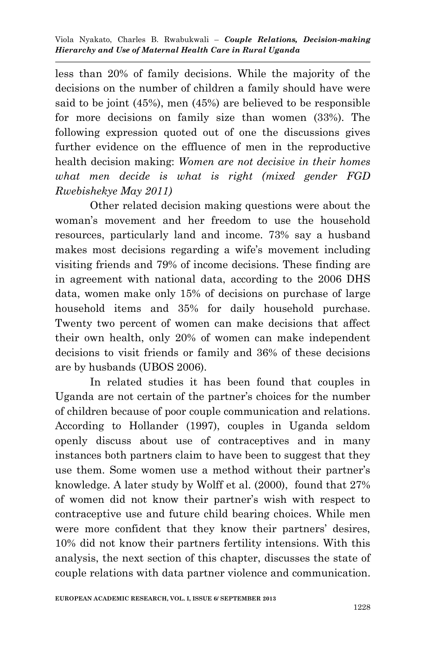less than 20% of family decisions. While the majority of the decisions on the number of children a family should have were said to be joint (45%), men (45%) are believed to be responsible for more decisions on family size than women (33%). The following expression quoted out of one the discussions gives further evidence on the effluence of men in the reproductive health decision making: *Women are not decisive in their homes what men decide is what is right (mixed gender FGD Rwebishekye May 2011)*

Other related decision making questions were about the woman's movement and her freedom to use the household resources, particularly land and income. 73% say a husband makes most decisions regarding a wife's movement including visiting friends and 79% of income decisions. These finding are in agreement with national data, according to the 2006 DHS data, women make only 15% of decisions on purchase of large household items and 35% for daily household purchase. Twenty two percent of women can make decisions that affect their own health, only 20% of women can make independent decisions to visit friends or family and 36% of these decisions are by husbands (UBOS 2006).

In related studies it has been found that couples in Uganda are not certain of the partner's choices for the number of children because of poor couple communication and relations. According to Hollander (1997), couples in Uganda seldom openly discuss about use of contraceptives and in many instances both partners claim to have been to suggest that they use them. Some women use a method without their partner's knowledge. A later study by Wolff et al. (2000), found that 27% of women did not know their partner's wish with respect to contraceptive use and future child bearing choices. While men were more confident that they know their partners' desires, 10% did not know their partners fertility intensions. With this analysis, the next section of this chapter, discusses the state of couple relations with data partner violence and communication.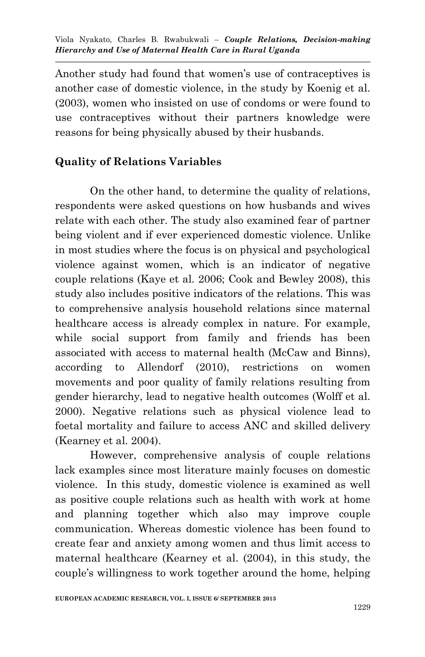Another study had found that women's use of contraceptives is another case of domestic violence, in the study by Koenig et al. (2003), women who insisted on use of condoms or were found to use contraceptives without their partners knowledge were reasons for being physically abused by their husbands.

## **Quality of Relations Variables**

On the other hand, to determine the quality of relations, respondents were asked questions on how husbands and wives relate with each other. The study also examined fear of partner being violent and if ever experienced domestic violence. Unlike in most studies where the focus is on physical and psychological violence against women, which is an indicator of negative couple relations (Kaye et al. 2006; Cook and Bewley 2008), this study also includes positive indicators of the relations. This was to comprehensive analysis household relations since maternal healthcare access is already complex in nature. For example, while social support from family and friends has been associated with access to maternal health (McCaw and Binns), according to Allendorf (2010), restrictions on women movements and poor quality of family relations resulting from gender hierarchy, lead to negative health outcomes (Wolff et al. 2000). Negative relations such as physical violence lead to foetal mortality and failure to access ANC and skilled delivery (Kearney et al. 2004).

However, comprehensive analysis of couple relations lack examples since most literature mainly focuses on domestic violence. In this study, domestic violence is examined as well as positive couple relations such as health with work at home and planning together which also may improve couple communication. Whereas domestic violence has been found to create fear and anxiety among women and thus limit access to maternal healthcare (Kearney et al. (2004), in this study, the couple's willingness to work together around the home, helping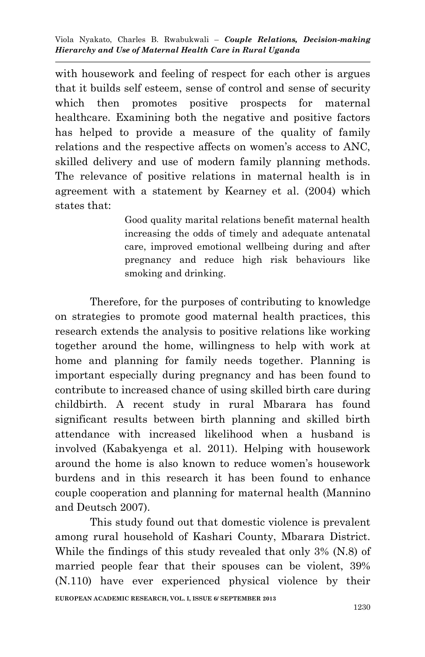with housework and feeling of respect for each other is argues that it builds self esteem, sense of control and sense of security which then promotes positive prospects for maternal healthcare. Examining both the negative and positive factors has helped to provide a measure of the quality of family relations and the respective affects on women's access to ANC, skilled delivery and use of modern family planning methods. The relevance of positive relations in maternal health is in agreement with a statement by Kearney et al. (2004) which states that:

> Good quality marital relations benefit maternal health increasing the odds of timely and adequate antenatal care, improved emotional wellbeing during and after pregnancy and reduce high risk behaviours like smoking and drinking.

Therefore, for the purposes of contributing to knowledge on strategies to promote good maternal health practices, this research extends the analysis to positive relations like working together around the home, willingness to help with work at home and planning for family needs together. Planning is important especially during pregnancy and has been found to contribute to increased chance of using skilled birth care during childbirth. A recent study in rural Mbarara has found significant results between birth planning and skilled birth attendance with increased likelihood when a husband is involved (Kabakyenga et al. 2011). Helping with housework around the home is also known to reduce women's housework burdens and in this research it has been found to enhance couple cooperation and planning for maternal health (Mannino and Deutsch 2007).

**EUROPEAN ACADEMIC RESEARCH, VOL. I, ISSUE 6/ SEPTEMBER 2013** This study found out that domestic violence is prevalent among rural household of Kashari County, Mbarara District. While the findings of this study revealed that only 3% (N.8) of married people fear that their spouses can be violent, 39% (N.110) have ever experienced physical violence by their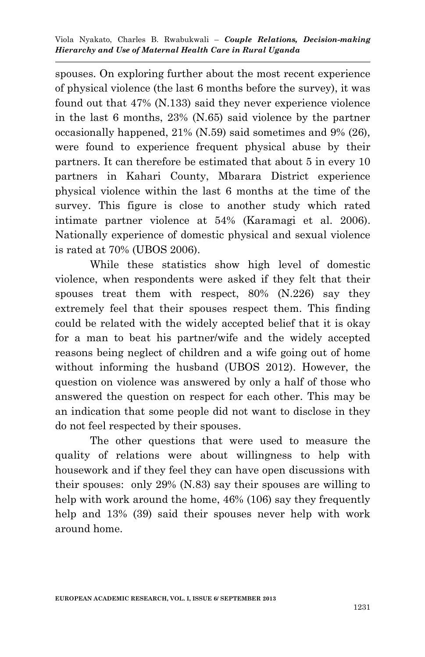spouses. On exploring further about the most recent experience of physical violence (the last 6 months before the survey), it was found out that 47% (N.133) said they never experience violence in the last 6 months, 23% (N.65) said violence by the partner occasionally happened, 21% (N.59) said sometimes and 9% (26), were found to experience frequent physical abuse by their partners. It can therefore be estimated that about 5 in every 10 partners in Kahari County, Mbarara District experience physical violence within the last 6 months at the time of the survey. This figure is close to another study which rated intimate partner violence at 54% (Karamagi et al. 2006). Nationally experience of domestic physical and sexual violence is rated at 70% (UBOS 2006).

While these statistics show high level of domestic violence, when respondents were asked if they felt that their spouses treat them with respect, 80% (N.226) say they extremely feel that their spouses respect them. This finding could be related with the widely accepted belief that it is okay for a man to beat his partner/wife and the widely accepted reasons being neglect of children and a wife going out of home without informing the husband (UBOS 2012). However, the question on violence was answered by only a half of those who answered the question on respect for each other. This may be an indication that some people did not want to disclose in they do not feel respected by their spouses.

The other questions that were used to measure the quality of relations were about willingness to help with housework and if they feel they can have open discussions with their spouses: only 29% (N.83) say their spouses are willing to help with work around the home, 46% (106) say they frequently help and 13% (39) said their spouses never help with work around home.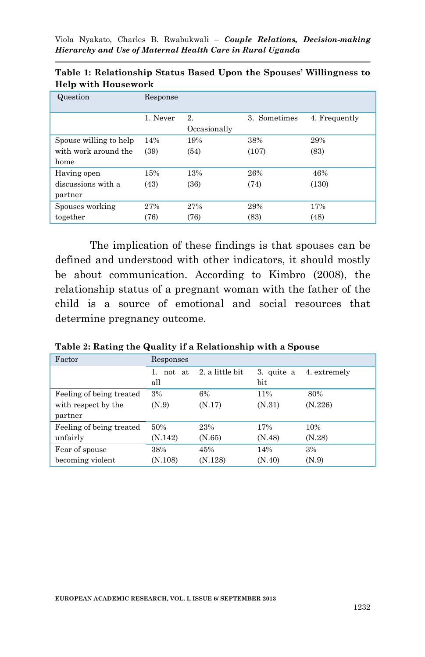| Question               | Response |                                     |       |       |  |  |
|------------------------|----------|-------------------------------------|-------|-------|--|--|
|                        | 1. Never | 2.<br>3. Sometimes<br>4. Frequently |       |       |  |  |
|                        |          | Occasionally                        |       |       |  |  |
| Spouse willing to help | 14%      | 19%                                 | 38%   | 29%   |  |  |
| with work around the   | (39)     | (54)                                | (107) | (83)  |  |  |
| home                   |          |                                     |       |       |  |  |
| Having open            | 15%      | 13%                                 | 26%   | 46%   |  |  |
| discussions with a     | (43)     | (36)                                | (74)  | (130) |  |  |
| partner                |          |                                     |       |       |  |  |
| Spouses working        | 27%      | 27%                                 | 29%   | 17%   |  |  |
| together               | (76)     | (76)                                | (83)  | (48)  |  |  |

**Table 1: Relationship Status Based Upon the Spouses' Willingness to Help with Housework**

The implication of these findings is that spouses can be defined and understood with other indicators, it should mostly be about communication. According to Kimbro (2008), the relationship status of a pregnant woman with the father of the child is a source of emotional and social resources that determine pregnancy outcome.

| Table 2: Rating the Quality if a Relationship with a Spouse |  |  |  |
|-------------------------------------------------------------|--|--|--|
|-------------------------------------------------------------|--|--|--|

| Factor                   | Responses           |                 |                   |              |
|--------------------------|---------------------|-----------------|-------------------|--------------|
|                          | not at<br>1.<br>all | 2. a little bit | 3. quite a<br>bit | 4. extremely |
|                          |                     |                 |                   |              |
| Feeling of being treated | 3%                  | 6%              | 11%               | 80%          |
| with respect by the      | (N.9)               | (N.17)          | (N.31)            | (N.226)      |
| partner                  |                     |                 |                   |              |
| Feeling of being treated | 50%                 | 23%             | 17%               | 10%          |
| unfairly                 | (N.142)             | (N.65)          | (N.48)            | (N.28)       |
| Fear of spouse           | 38%                 | 45%             | 14%               | 3%           |
| becoming violent         | (N.108)             | (N.128)         | (N.40)            | (N.9)        |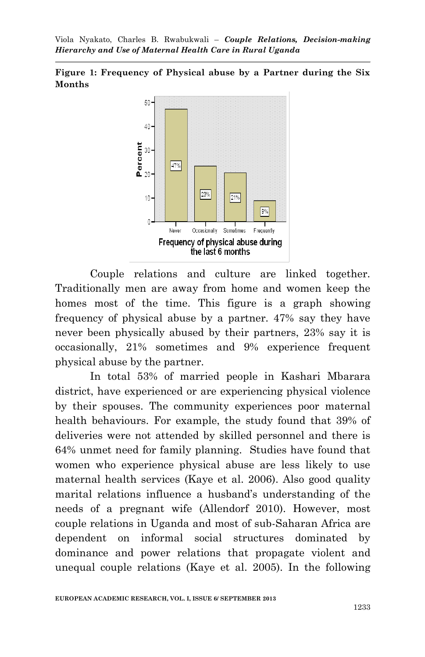**Figure 1: Frequency of Physical abuse by a Partner during the Six Months**



Couple relations and culture are linked together. Traditionally men are away from home and women keep the homes most of the time. This figure is a graph showing frequency of physical abuse by a partner. 47% say they have never been physically abused by their partners, 23% say it is occasionally, 21% sometimes and 9% experience frequent physical abuse by the partner.

In total 53% of married people in Kashari Mbarara district, have experienced or are experiencing physical violence by their spouses. The community experiences poor maternal health behaviours. For example, the study found that 39% of deliveries were not attended by skilled personnel and there is 64% unmet need for family planning. Studies have found that women who experience physical abuse are less likely to use maternal health services (Kaye et al. 2006). Also good quality marital relations influence a husband's understanding of the needs of a pregnant wife (Allendorf 2010). However, most couple relations in Uganda and most of sub-Saharan Africa are dependent on informal social structures dominated by dominance and power relations that propagate violent and unequal couple relations (Kaye et al. 2005). In the following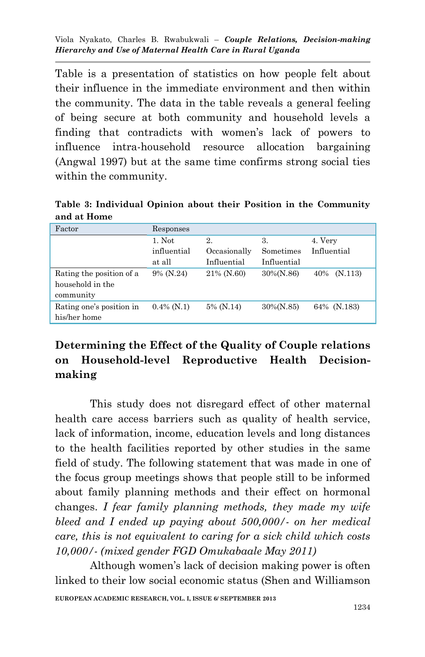Table is a presentation of statistics on how people felt about their influence in the immediate environment and then within the community. The data in the table reveals a general feeling of being secure at both community and household levels a finding that contradicts with women's lack of powers to influence intra-household resource allocation bargaining (Angwal 1997) but at the same time confirms strong social ties within the community.

**Table 3: Individual Opinion about their Position in the Community and at Home**

| Factor                   | Responses     |              |              |             |
|--------------------------|---------------|--------------|--------------|-------------|
|                          | 1. Not        | 2.           | 3.           | 4. Very     |
|                          | influential   | Occasionally | Sometimes    | Influential |
|                          | at all        | Influential  | Influential  |             |
| Rating the position of a | 9% (N.24)     | 21% (N.60)   | $30\%(N.86)$ | 40% (N.113) |
| household in the         |               |              |              |             |
| community                |               |              |              |             |
| Rating one's position in | $0.4\%$ (N.1) | 5% (N.14)    | $30\%(N.85)$ | 64% (N.183) |
| his/her home             |               |              |              |             |

# **Determining the Effect of the Quality of Couple relations on Household-level Reproductive Health Decisionmaking**

This study does not disregard effect of other maternal health care access barriers such as quality of health service, lack of information, income, education levels and long distances to the health facilities reported by other studies in the same field of study. The following statement that was made in one of the focus group meetings shows that people still to be informed about family planning methods and their effect on hormonal changes. *I fear family planning methods, they made my wife bleed and I ended up paying about 500,000/- on her medical care, this is not equivalent to caring for a sick child which costs 10,000/- (mixed gender FGD Omukabaale May 2011)*

**EUROPEAN ACADEMIC RESEARCH, VOL. I, ISSUE 6/ SEPTEMBER 2013** Although women's lack of decision making power is often linked to their low social economic status (Shen and Williamson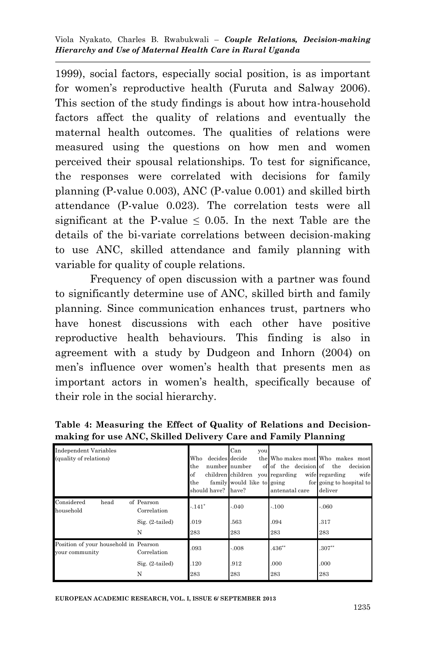1999), social factors, especially social position, is as important for women's reproductive health (Furuta and Salway 2006). This section of the study findings is about how intra-household factors affect the quality of relations and eventually the maternal health outcomes. The qualities of relations were measured using the questions on how men and women perceived their spousal relationships. To test for significance, the responses were correlated with decisions for family planning (P-value 0.003), ANC (P-value 0.001) and skilled birth attendance (P-value 0.023). The correlation tests were all significant at the P-value  $\leq 0.05$ . In the next Table are the details of the bi-variate correlations between decision-making to use ANC, skilled attendance and family planning with variable for quality of couple relations.

Frequency of open discussion with a partner was found to significantly determine use of ANC, skilled birth and family planning. Since communication enhances trust, partners who have honest discussions with each other have positive reproductive health behaviours. This finding is also in agreement with a study by Dudgeon and Inhorn (2004) on men's influence over women's health that presents men as important actors in women's health, specifically because of their role in the social hierarchy.

| <b>Independent Variables</b><br>(quality of relations)  |                                                     | decides decide<br>Who<br>the<br>of<br>the<br>should have? have? | Can<br>you<br>number number<br>family would like to going | of of the decision of the<br>children children you regarding wife regarding<br>antenatal care | the Who makes most Who makes most<br>decision<br>wife<br>for going to hospital to<br>deliver |
|---------------------------------------------------------|-----------------------------------------------------|-----------------------------------------------------------------|-----------------------------------------------------------|-----------------------------------------------------------------------------------------------|----------------------------------------------------------------------------------------------|
| Considered<br>head<br>household                         | of Pearson<br>Correlation<br>$Sig. (2-tailed)$<br>N | $-.141*$<br>.019<br>283                                         | $-.040$<br>.563<br>283                                    | $-.100$<br>.094<br>283                                                                        | $-.060$<br>.317<br>283                                                                       |
| Position of your household in Pearson<br>your community | Correlation<br>Sig. (2-tailed)<br>N                 | .093<br>120<br>283                                              | $-.008$<br>.912<br>283                                    | $.436**$<br>.000<br>283                                                                       | $.307**$<br>.000<br>283                                                                      |

**Table 4: Measuring the Effect of Quality of Relations and Decisionmaking for use ANC, Skilled Delivery Care and Family Planning**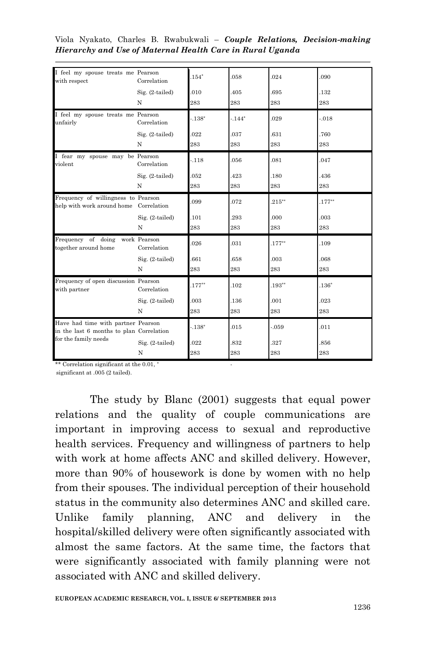|  |  |                                                           |  | Viola Nyakato, Charles B. Rwabukwali – Couple Relations, Decision-making |
|--|--|-----------------------------------------------------------|--|--------------------------------------------------------------------------|
|  |  | Hierarchy and Use of Maternal Health Care in Rural Uganda |  |                                                                          |

| I feel my spouse treats me Pearson<br>with respect                             | Correlation                 | $.154*$  | .058    | .024      | .090      |
|--------------------------------------------------------------------------------|-----------------------------|----------|---------|-----------|-----------|
|                                                                                | Sig. (2-tailed)             | .010     | .405    | .695      | .132      |
|                                                                                | N                           | 283      | 283     | 283       | 283       |
| I feel my spouse treats me Pearson<br>unfairly                                 | Correlation                 | $-.138*$ | $-144*$ | .029      | $-0.018$  |
|                                                                                | Sig. (2-tailed)             | .022     | .037    | .631      | .760      |
|                                                                                | N                           | 283      | 283     | 283       | 283       |
| I fear my spouse may be Pearson<br>violent                                     | Correlation                 | $-.118$  | .056    | .081      | .047      |
|                                                                                | Sig. (2-tailed)             | 052      | .423    | .180      | .436      |
|                                                                                | N                           | 283      | 283     | 283       | 283       |
| Frequency of willingness to Pearson<br>help with work around home Correlation  |                             | .099     | .072    | $.215***$ | $.177***$ |
|                                                                                | Sig. (2-tailed)             | .101     | .293    | .000      | 003       |
|                                                                                | N                           | 283      | 283     | 283       | 283       |
| Frequency of doing<br>together around home                                     | work Pearson<br>Correlation | .026     | .031    | $.177**$  | .109      |
|                                                                                | Sig. (2-tailed)             | 661      | .658    | .003      | .068      |
|                                                                                | N                           | 283      | 283     | 283       | 283       |
| Frequency of open discussion Pearson<br>with partner                           | Correlation                 | $.177**$ | .102    | $.193**$  | $.136*$   |
|                                                                                | Sig. (2-tailed)             | 003      | .136    | .001      | .023      |
|                                                                                | N                           | 283      | 283     | 283       | 283       |
| Have had time with partner Pearson<br>in the last 6 months to plan Correlation |                             | $-.138*$ | .015    | $-0.59$   | .011      |
| for the family needs                                                           | Sig. (2-tailed)             | .022     | .832    | .327      | .856      |
|                                                                                | N                           | 283      | 283     | 283       | 283       |

\*\* Correlation significant at the 0.01, \*

significant at .005 (2 tailed).

The study by Blanc (2001) suggests that equal power relations and the quality of couple communications are important in improving access to sexual and reproductive health services. Frequency and willingness of partners to help with work at home affects ANC and skilled delivery. However, more than 90% of housework is done by women with no help from their spouses. The individual perception of their household status in the community also determines ANC and skilled care. Unlike family planning, ANC and delivery in the hospital/skilled delivery were often significantly associated with almost the same factors. At the same time, the factors that were significantly associated with family planning were not associated with ANC and skilled delivery.

-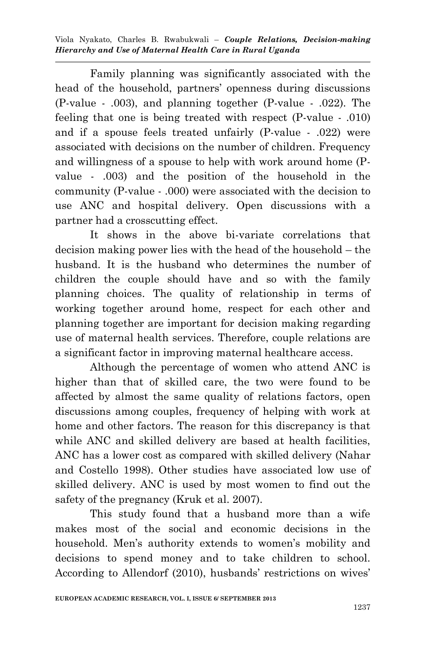Family planning was significantly associated with the head of the household, partners' openness during discussions (P-value - .003), and planning together (P-value - .022). The feeling that one is being treated with respect (P-value - .010) and if a spouse feels treated unfairly (P-value - .022) were associated with decisions on the number of children. Frequency and willingness of a spouse to help with work around home (Pvalue - .003) and the position of the household in the community (P-value - .000) were associated with the decision to use ANC and hospital delivery. Open discussions with a partner had a crosscutting effect.

It shows in the above bi-variate correlations that decision making power lies with the head of the household – the husband. It is the husband who determines the number of children the couple should have and so with the family planning choices. The quality of relationship in terms of working together around home, respect for each other and planning together are important for decision making regarding use of maternal health services. Therefore, couple relations are a significant factor in improving maternal healthcare access.

Although the percentage of women who attend ANC is higher than that of skilled care, the two were found to be affected by almost the same quality of relations factors, open discussions among couples, frequency of helping with work at home and other factors. The reason for this discrepancy is that while ANC and skilled delivery are based at health facilities, ANC has a lower cost as compared with skilled delivery (Nahar and Costello 1998). Other studies have associated low use of skilled delivery. ANC is used by most women to find out the safety of the pregnancy (Kruk et al. 2007).

This study found that a husband more than a wife makes most of the social and economic decisions in the household. Men's authority extends to women's mobility and decisions to spend money and to take children to school. According to Allendorf (2010), husbands' restrictions on wives'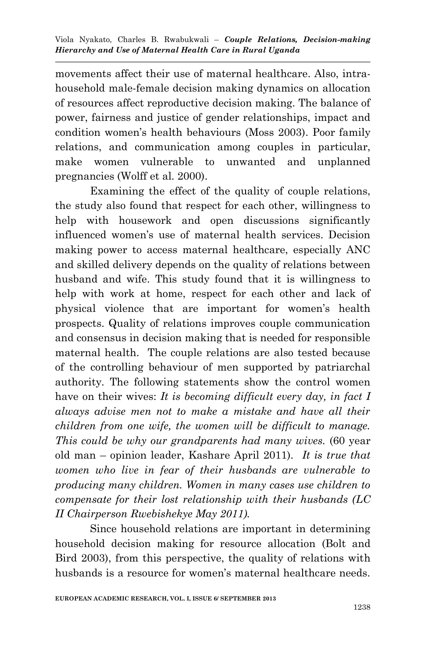movements affect their use of maternal healthcare. Also, intrahousehold male-female decision making dynamics on allocation of resources affect reproductive decision making. The balance of power, fairness and justice of gender relationships, impact and condition women's health behaviours (Moss 2003). Poor family relations, and communication among couples in particular, make women vulnerable to unwanted and unplanned pregnancies (Wolff et al. 2000).

Examining the effect of the quality of couple relations, the study also found that respect for each other, willingness to help with housework and open discussions significantly influenced women's use of maternal health services. Decision making power to access maternal healthcare, especially ANC and skilled delivery depends on the quality of relations between husband and wife. This study found that it is willingness to help with work at home, respect for each other and lack of physical violence that are important for women's health prospects. Quality of relations improves couple communication and consensus in decision making that is needed for responsible maternal health. The couple relations are also tested because of the controlling behaviour of men supported by patriarchal authority. The following statements show the control women have on their wives: *It is becoming difficult every day, in fact I always advise men not to make a mistake and have all their children from one wife, the women will be difficult to manage. This could be why our grandparents had many wives.* (60 year old man – opinion leader, Kashare April 2011). *It is true that women who live in fear of their husbands are vulnerable to producing many children. Women in many cases use children to compensate for their lost relationship with their husbands (LC II Chairperson Rwebishekye May 2011).*

Since household relations are important in determining household decision making for resource allocation (Bolt and Bird 2003), from this perspective, the quality of relations with husbands is a resource for women's maternal healthcare needs.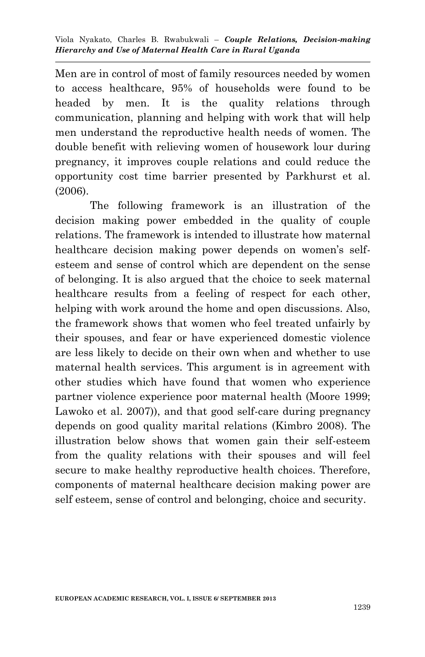Men are in control of most of family resources needed by women to access healthcare, 95% of households were found to be headed by men. It is the quality relations through communication, planning and helping with work that will help men understand the reproductive health needs of women. The double benefit with relieving women of housework lour during pregnancy, it improves couple relations and could reduce the opportunity cost time barrier presented by Parkhurst et al. (2006).

The following framework is an illustration of the decision making power embedded in the quality of couple relations. The framework is intended to illustrate how maternal healthcare decision making power depends on women's selfesteem and sense of control which are dependent on the sense of belonging. It is also argued that the choice to seek maternal healthcare results from a feeling of respect for each other, helping with work around the home and open discussions. Also, the framework shows that women who feel treated unfairly by their spouses, and fear or have experienced domestic violence are less likely to decide on their own when and whether to use maternal health services. This argument is in agreement with other studies which have found that women who experience partner violence experience poor maternal health (Moore 1999; Lawoko et al. 2007)), and that good self-care during pregnancy depends on good quality marital relations (Kimbro 2008). The illustration below shows that women gain their self-esteem from the quality relations with their spouses and will feel secure to make healthy reproductive health choices. Therefore, components of maternal healthcare decision making power are self esteem, sense of control and belonging, choice and security.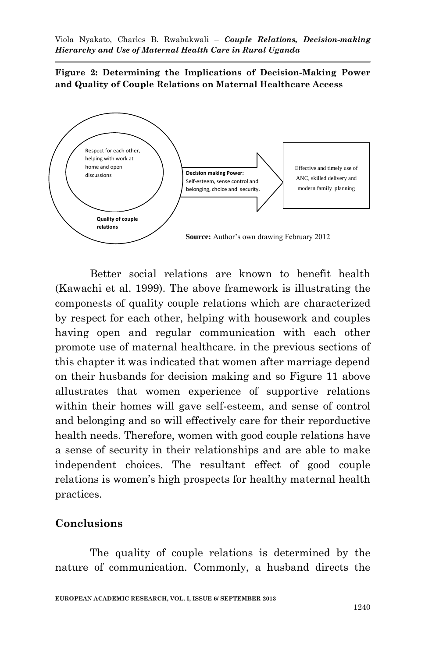**Figure 2: Determining the Implications of Decision-Making Power and Quality of Couple Relations on Maternal Healthcare Access**



Better social relations are known to benefit health (Kawachi et al. 1999). The above framework is illustrating the componests of quality couple relations which are characterized by respect for each other, helping with housework and couples having open and regular communication with each other promote use of maternal healthcare. in the previous sections of this chapter it was indicated that women after marriage depend on their husbands for decision making and so Figure 11 above allustrates that women experience of supportive relations within their homes will gave self-esteem, and sense of control and belonging and so will effectively care for their reporductive health needs. Therefore, women with good couple relations have a sense of security in their relationships and are able to make independent choices. The resultant effect of good couple relations is women's high prospects for healthy maternal health practices.

### **Conclusions**

The quality of couple relations is determined by the nature of communication. Commonly, a husband directs the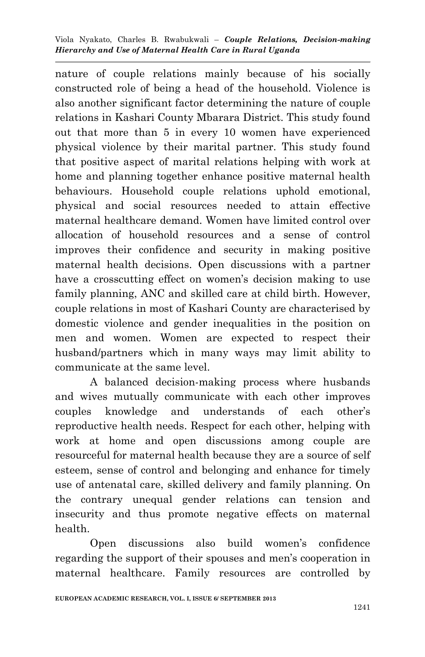nature of couple relations mainly because of his socially constructed role of being a head of the household. Violence is also another significant factor determining the nature of couple relations in Kashari County Mbarara District. This study found out that more than 5 in every 10 women have experienced physical violence by their marital partner. This study found that positive aspect of marital relations helping with work at home and planning together enhance positive maternal health behaviours. Household couple relations uphold emotional, physical and social resources needed to attain effective maternal healthcare demand. Women have limited control over allocation of household resources and a sense of control improves their confidence and security in making positive maternal health decisions. Open discussions with a partner have a crosscutting effect on women's decision making to use family planning, ANC and skilled care at child birth. However, couple relations in most of Kashari County are characterised by domestic violence and gender inequalities in the position on men and women. Women are expected to respect their husband/partners which in many ways may limit ability to communicate at the same level.

A balanced decision-making process where husbands and wives mutually communicate with each other improves couples knowledge and understands of each other's reproductive health needs. Respect for each other, helping with work at home and open discussions among couple are resourceful for maternal health because they are a source of self esteem, sense of control and belonging and enhance for timely use of antenatal care, skilled delivery and family planning. On the contrary unequal gender relations can tension and insecurity and thus promote negative effects on maternal health.

Open discussions also build women's confidence regarding the support of their spouses and men's cooperation in maternal healthcare. Family resources are controlled by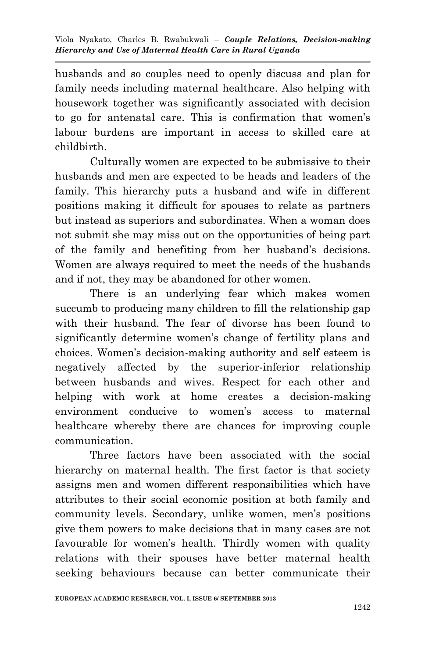husbands and so couples need to openly discuss and plan for family needs including maternal healthcare. Also helping with housework together was significantly associated with decision to go for antenatal care. This is confirmation that women's labour burdens are important in access to skilled care at childbirth.

Culturally women are expected to be submissive to their husbands and men are expected to be heads and leaders of the family. This hierarchy puts a husband and wife in different positions making it difficult for spouses to relate as partners but instead as superiors and subordinates. When a woman does not submit she may miss out on the opportunities of being part of the family and benefiting from her husband's decisions. Women are always required to meet the needs of the husbands and if not, they may be abandoned for other women.

There is an underlying fear which makes women succumb to producing many children to fill the relationship gap with their husband. The fear of divorse has been found to significantly determine women's change of fertility plans and choices. Women's decision-making authority and self esteem is negatively affected by the superior-inferior relationship between husbands and wives. Respect for each other and helping with work at home creates a decision-making environment conducive to women's access to maternal healthcare whereby there are chances for improving couple communication.

Three factors have been associated with the social hierarchy on maternal health. The first factor is that society assigns men and women different responsibilities which have attributes to their social economic position at both family and community levels. Secondary, unlike women, men's positions give them powers to make decisions that in many cases are not favourable for women's health. Thirdly women with quality relations with their spouses have better maternal health seeking behaviours because can better communicate their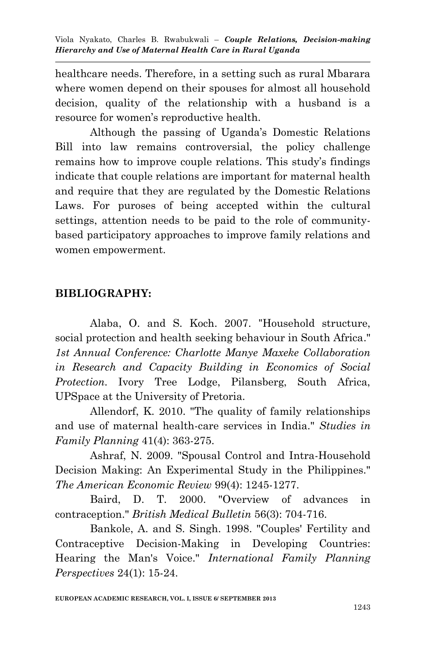healthcare needs. Therefore, in a setting such as rural Mbarara where women depend on their spouses for almost all household decision, quality of the relationship with a husband is a resource for women's reproductive health.

Although the passing of Uganda's Domestic Relations Bill into law remains controversial, the policy challenge remains how to improve couple relations. This study's findings indicate that couple relations are important for maternal health and require that they are regulated by the Domestic Relations Laws. For puroses of being accepted within the cultural settings, attention needs to be paid to the role of communitybased participatory approaches to improve family relations and women empowerment.

### **BIBLIOGRAPHY:**

Alaba, O. and S. Koch. 2007. "Household structure, social protection and health seeking behaviour in South Africa." *1st Annual Conference: Charlotte Manye Maxeke Collaboration in Research and Capacity Building in Economics of Social Protection*. Ivory Tree Lodge, Pilansberg, South Africa, UPSpace at the University of Pretoria.

Allendorf, K. 2010. "The quality of family relationships and use of maternal health-care services in India." *Studies in Family Planning* 41(4): 363-275.

Ashraf, N. 2009. "Spousal Control and Intra-Household Decision Making: An Experimental Study in the Philippines." *The American Economic Review* 99(4): 1245-1277.

Baird, D. T. 2000. "Overview of advances in contraception." *British Medical Bulletin* 56(3): 704-716.

Bankole, A. and S. Singh. 1998. "Couples' Fertility and Contraceptive Decision-Making in Developing Countries: Hearing the Man's Voice." *International Family Planning Perspectives* 24(1): 15-24.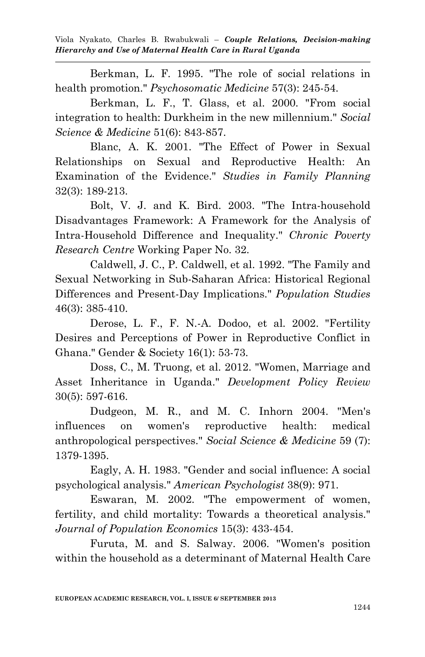Berkman, L. F. 1995. "The role of social relations in health promotion." *Psychosomatic Medicine* 57(3): 245-54.

Berkman, L. F., T. Glass, et al. 2000. "From social integration to health: Durkheim in the new millennium." *Social Science & Medicine* 51(6): 843-857.

Blanc, A. K. 2001. "The Effect of Power in Sexual Relationships on Sexual and Reproductive Health: An Examination of the Evidence." *Studies in Family Planning* 32(3): 189-213.

Bolt, V. J. and K. Bird. 2003. "The Intra-household Disadvantages Framework: A Framework for the Analysis of Intra-Household Difference and Inequality." *Chronic Poverty Research Centre* Working Paper No. 32.

Caldwell, J. C., P. Caldwell, et al. 1992. "The Family and Sexual Networking in Sub-Saharan Africa: Historical Regional Differences and Present-Day Implications." *Population Studies*  46(3): 385-410.

Derose, L. F., F. N.-A. Dodoo, et al. 2002. "Fertility Desires and Perceptions of Power in Reproductive Conflict in Ghana." Gender & Society 16(1): 53-73.

Doss, C., M. Truong, et al. 2012. "Women, Marriage and Asset Inheritance in Uganda." *Development Policy Review* 30(5): 597-616.

Dudgeon, M. R., and M. C. Inhorn 2004. "Men's influences on women's reproductive health: medical anthropological perspectives." *Social Science & Medicine* 59 (7): 1379-1395.

Eagly, A. H. 1983. "Gender and social influence: A social psychological analysis." *American Psychologist* 38(9): 971.

Eswaran, M. 2002. "The empowerment of women, fertility, and child mortality: Towards a theoretical analysis." *Journal of Population Economics* 15(3): 433-454.

Furuta, M. and S. Salway. 2006. "Women's position within the household as a determinant of Maternal Health Care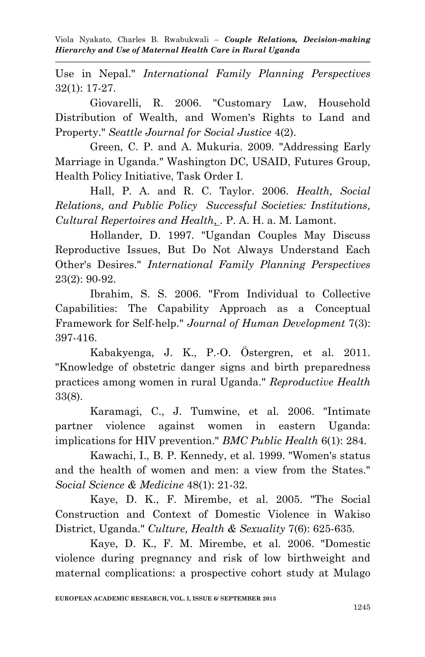Use in Nepal." *International Family Planning Perspectives* 32(1): 17-27.

Giovarelli, R. 2006. "Customary Law, Household Distribution of Wealth, and Women's Rights to Land and Property." *Seattle Journal for Social Justice* 4(2).

Green, C. P. and A. Mukuria. 2009. "Addressing Early Marriage in Uganda." Washington DC, USAID, Futures Group, Health Policy Initiative, Task Order I.

Hall, P. A. and R. C. Taylor. 2006. *Health, Social Relations, and Public Policy Successful Societies: Institutions, Cultural Repertoires and Health*, . P. A. H. a. M. Lamont.

Hollander, D. 1997. "Ugandan Couples May Discuss Reproductive Issues, But Do Not Always Understand Each Other's Desires." *International Family Planning Perspectives* 23(2): 90-92.

Ibrahim, S. S. 2006. "From Individual to Collective Capabilities: The Capability Approach as a Conceptual Framework for Self-help." *Journal of Human Development* 7(3): 397-416.

Kabakyenga, J. K., P.-O. Östergren, et al. 2011. "Knowledge of obstetric danger signs and birth preparedness practices among women in rural Uganda." *Reproductive Health*  33(8).

Karamagi, C., J. Tumwine, et al. 2006. "Intimate partner violence against women in eastern Uganda: implications for HIV prevention." *BMC Public Health* 6(1): 284.

Kawachi, I., B. P. Kennedy, et al. 1999. "Women's status and the health of women and men: a view from the States." *Social Science & Medicine* 48(1): 21-32.

Kaye, D. K., F. Mirembe, et al. 2005. "The Social Construction and Context of Domestic Violence in Wakiso District, Uganda." *Culture, Health & Sexuality* 7(6): 625-635.

Kaye, D. K., F. M. Mirembe, et al. 2006. "Domestic violence during pregnancy and risk of low birthweight and maternal complications: a prospective cohort study at Mulago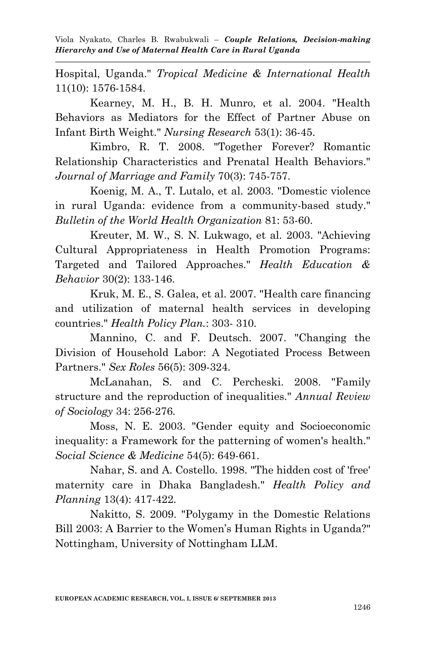Hospital, Uganda." *Tropical Medicine & International Health* 11(10): 1576-1584.

Kearney, M. H., B. H. Munro, et al. 2004. "Health Behaviors as Mediators for the Effect of Partner Abuse on Infant Birth Weight." *Nursing Research* 53(1): 36-45.

Kimbro, R. T. 2008. "Together Forever? Romantic Relationship Characteristics and Prenatal Health Behaviors." *Journal of Marriage and Family* 70(3): 745-757.

Koenig, M. A., T. Lutalo, et al. 2003. "Domestic violence in rural Uganda: evidence from a community-based study." *Bulletin of the World Health Organization* 81: 53-60.

Kreuter, M. W., S. N. Lukwago, et al. 2003. "Achieving Cultural Appropriateness in Health Promotion Programs: Targeted and Tailored Approaches." *Health Education & Behavior* 30(2): 133-146.

Kruk, M. E., S. Galea, et al. 2007. "Health care financing and utilization of maternal health services in developing countries." *Health Policy Plan.*: 303- 310.

Mannino, C. and F. Deutsch. 2007. "Changing the Division of Household Labor: A Negotiated Process Between Partners." *Sex Roles* 56(5): 309-324.

McLanahan, S. and C. Percheski. 2008. "Family structure and the reproduction of inequalities." *Annual Review of Sociology* 34: 256-276.

Moss, N. E. 2003. "Gender equity and Socioeconomic inequality: a Framework for the patterning of women's health." *Social Science & Medicine* 54(5): 649-661.

Nahar, S. and A. Costello. 1998. "The hidden cost of 'free' maternity care in Dhaka Bangladesh." *Health Policy and Planning* 13(4): 417-422.

Nakitto, S. 2009. "Polygamy in the Domestic Relations Bill 2003: A Barrier to the Women's Human Rights in Uganda?" Nottingham, University of Nottingham LLM.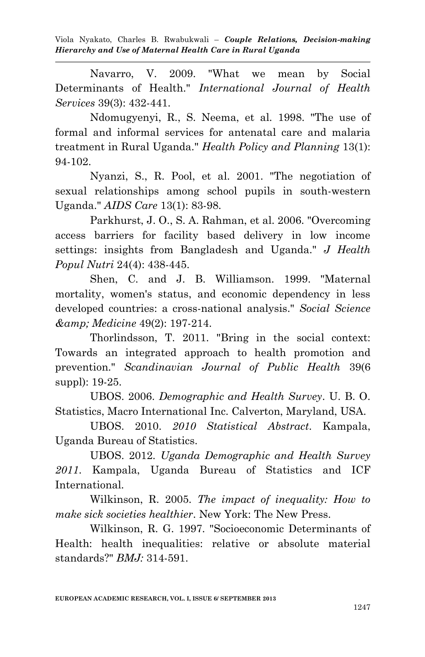Navarro, V. 2009. "What we mean by Social Determinants of Health." *International Journal of Health Services* 39(3): 432-441.

Ndomugyenyi, R., S. Neema, et al. 1998. "The use of formal and informal services for antenatal care and malaria treatment in Rural Uganda." *Health Policy and Planning* 13(1): 94-102.

Nyanzi, S., R. Pool, et al. 2001. "The negotiation of sexual relationships among school pupils in south-western Uganda." *AIDS Care* 13(1): 83-98.

Parkhurst, J. O., S. A. Rahman, et al. 2006. "Overcoming access barriers for facility based delivery in low income settings: insights from Bangladesh and Uganda." *J Health Popul Nutri* 24(4): 438-445.

Shen, C. and J. B. Williamson. 1999. "Maternal mortality, women's status, and economic dependency in less developed countries: a cross-national analysis." *Social Science & Medicine* 49(2): 197-214.

Thorlindsson, T. 2011. "Bring in the social context: Towards an integrated approach to health promotion and prevention." *Scandinavian Journal of Public Health* 39(6 suppl): 19-25.

UBOS. 2006. *Demographic and Health Survey*. U. B. O. Statistics, Macro International Inc. Calverton, Maryland, USA.

UBOS. 2010. *2010 Statistical Abstract*. Kampala, Uganda Bureau of Statistics.

UBOS. 2012. *Uganda Demographic and Health Survey 2011*. Kampala, Uganda Bureau of Statistics and ICF International.

Wilkinson, R. 2005. *The impact of inequality: How to make sick societies healthier*. New York: The New Press.

Wilkinson, R. G. 1997. "Socioeconomic Determinants of Health: health inequalities: relative or absolute material standards?" *BMJ:* 314-591.